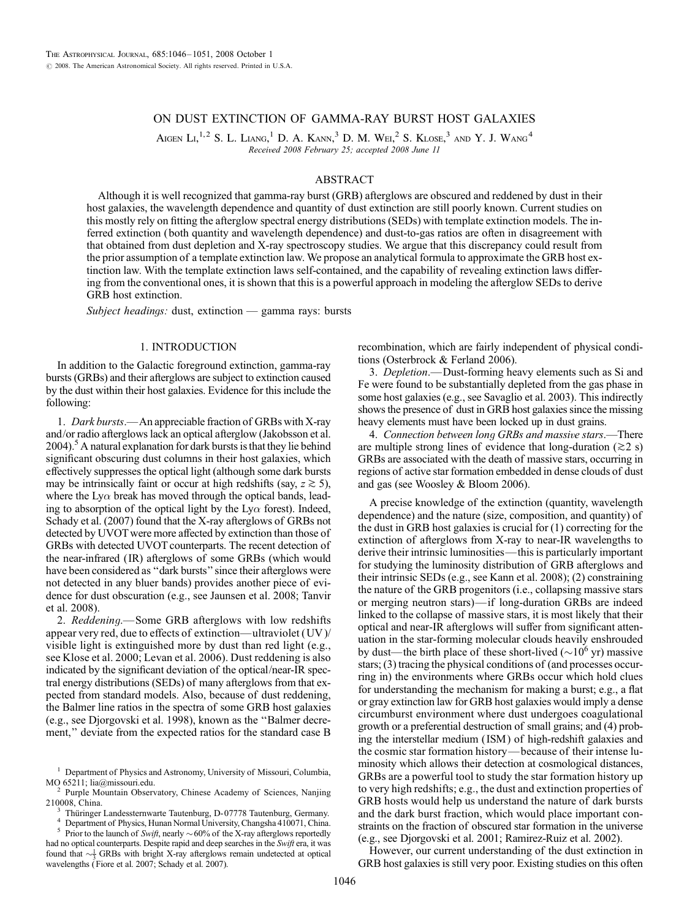# ON DUST EXTINCTION OF GAMMA-RAY BURST HOST GALAXIES

AIGEN LI,<sup>1,2</sup> S. L. LIANG,<sup>1</sup> D. A. KANN,<sup>3</sup> D. M. Wei,<sup>2</sup> S. Klose,<sup>3</sup> and Y. J. Wang<sup>4</sup> Received 2008 February 25; accepted 2008 June 11

#### ABSTRACT

Although it is well recognized that gamma-ray burst (GRB) afterglows are obscured and reddened by dust in their host galaxies, the wavelength dependence and quantity of dust extinction are still poorly known. Current studies on this mostly rely on fitting the afterglow spectral energy distributions (SEDs) with template extinction models. The inferred extinction (both quantity and wavelength dependence) and dust-to-gas ratios are often in disagreement with that obtained from dust depletion and X-ray spectroscopy studies. We argue that this discrepancy could result from the prior assumption of a template extinction law. We propose an analytical formula to approximate the GRB host extinction law. With the template extinction laws self-contained, and the capability of revealing extinction laws differing from the conventional ones, it is shown that this is a powerful approach in modeling the afterglow SEDs to derive GRB host extinction.

Subject headings: dust, extinction — gamma rays: bursts

### 1. INTRODUCTION

In addition to the Galactic foreground extinction, gamma-ray bursts (GRBs) and their afterglows are subject to extinction caused by the dust within their host galaxies. Evidence for this include the following:

1. Dark bursts.—An appreciable fraction of GRBs with X-ray and/or radio afterglows lack an optical afterglow (Jakobsson et al.  $2004$ .<sup>5</sup> A natural explanation for dark bursts is that they lie behind significant obscuring dust columns in their host galaxies, which effectively suppresses the optical light (although some dark bursts may be intrinsically faint or occur at high redshifts (say,  $z \ge 5$ ), where the Ly $\alpha$  break has moved through the optical bands, leading to absorption of the optical light by the  $Ly\alpha$  forest). Indeed, Schady et al. (2007) found that the X-ray afterglows of GRBs not detected by UVOT were more affected by extinction than those of GRBs with detected UVOT counterparts. The recent detection of the near-infrared ( IR) afterglows of some GRBs (which would have been considered as ''dark bursts'' since their afterglows were not detected in any bluer bands) provides another piece of evidence for dust obscuration (e.g., see Jaunsen et al. 2008; Tanvir et al. 2008).

2. Reddening.—Some GRB afterglows with low redshifts appear very red, due to effects of extinction—ultraviolet (UV )/ visible light is extinguished more by dust than red light (e.g., see Klose et al. 2000; Levan et al. 2006). Dust reddening is also indicated by the significant deviation of the optical/near-IR spectral energy distributions (SEDs) of many afterglows from that expected from standard models. Also, because of dust reddening, the Balmer line ratios in the spectra of some GRB host galaxies (e.g., see Djorgovski et al. 1998), known as the ''Balmer decrement," deviate from the expected ratios for the standard case B

<sup>3</sup> Thüringer Landessternwarte Tautenburg, D-07778 Tautenburg, Germany.<br><sup>4</sup> Department of Physics, Hunan Normal University, Changsha 410071, China.<br><sup>5</sup> Prior to the launch of *Swift*, nearly  $\sim$  60% of the X-ray afterglo

had no optical counterparts. Despite rapid and deep searches in the Swift era, it was found that  $\sim \frac{1}{3}$  GRBs with bright X-ray afterglows remain undetected at optical wavelengths (Fiore et al. 2007; Schady et al. 2007).

recombination, which are fairly independent of physical conditions (Osterbrock & Ferland 2006).

3. Depletion.—Dust-forming heavy elements such as Si and Fe were found to be substantially depleted from the gas phase in some host galaxies (e.g., see Savaglio et al. 2003). This indirectly shows the presence of dust in GRB host galaxies since the missing heavy elements must have been locked up in dust grains.

4. Connection between long GRBs and massive stars.—There are multiple strong lines of evidence that long-duration  $(\geq 2 \text{ s})$ GRBs are associated with the death of massive stars, occurring in regions of active star formation embedded in dense clouds of dust and gas (see Woosley & Bloom 2006).

A precise knowledge of the extinction (quantity, wavelength dependence) and the nature (size, composition, and quantity) of the dust in GRB host galaxies is crucial for (1) correcting for the extinction of afterglows from X-ray to near-IR wavelengths to derive their intrinsic luminosities—this is particularly important for studying the luminosity distribution of GRB afterglows and their intrinsic SEDs (e.g., see Kann et al. 2008); (2) constraining the nature of the GRB progenitors (i.e., collapsing massive stars or merging neutron stars)—if long-duration GRBs are indeed linked to the collapse of massive stars, it is most likely that their optical and near-IR afterglows will suffer from significant attenuation in the star-forming molecular clouds heavily enshrouded by dust—the birth place of these short-lived ( $\sim$ 10<sup>6</sup> yr) massive stars; (3) tracing the physical conditions of (and processes occurring in) the environments where GRBs occur which hold clues for understanding the mechanism for making a burst; e.g., a flat or gray extinction law for GRB host galaxies would imply a dense circumburst environment where dust undergoes coagulational growth or a preferential destruction of small grains; and (4) probing the interstellar medium ( ISM ) of high-redshift galaxies and the cosmic star formation history—because of their intense luminosity which allows their detection at cosmological distances, GRBs are a powerful tool to study the star formation history up to very high redshifts; e.g., the dust and extinction properties of GRB hosts would help us understand the nature of dark bursts and the dark burst fraction, which would place important constraints on the fraction of obscured star formation in the universe (e.g., see Djorgovski et al. 2001; Ramirez-Ruiz et al. 2002).

However, our current understanding of the dust extinction in GRB host galaxies is still very poor. Existing studies on this often

 $1$  Department of Physics and Astronomy, University of Missouri, Columbia, MO 65211; lia@missouri.edu.

<sup>&</sup>lt;sup>2</sup> Purple Mountain Observatory, Chinese Academy of Sciences, Nanjing 210008, China.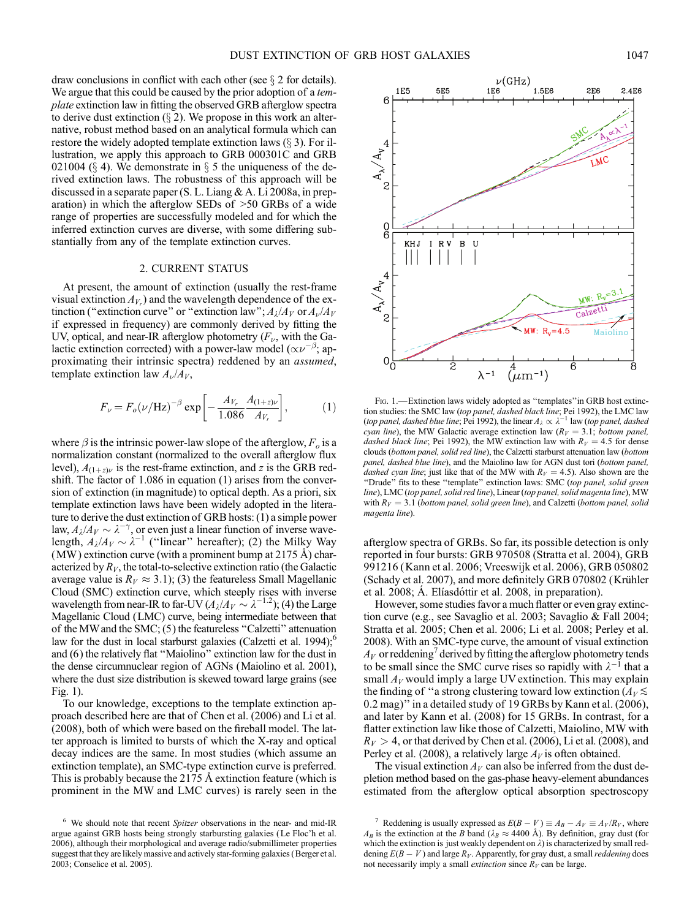draw conclusions in conflict with each other (see  $\S 2$  for details). We argue that this could be caused by the prior adoption of a template extinction law in fitting the observed GRB afterglow spectra to derive dust extinction  $(\S 2)$ . We propose in this work an alternative, robust method based on an analytical formula which can restore the widely adopted template extinction laws  $(\S 3)$ . For illustration, we apply this approach to GRB 000301C and GRB 021004 ( $\S$  4). We demonstrate in  $\S$  5 the uniqueness of the derived extinction laws. The robustness of this approach will be discussed in a separate paper (S. L. Liang & A. Li 2008a, in preparation) in which the afterglow SEDs of >50 GRBs of a wide range of properties are successfully modeled and for which the inferred extinction curves are diverse, with some differing substantially from any of the template extinction curves.

#### 2. CURRENT STATUS

At present, the amount of extinction (usually the rest-frame visual extinction  $A_{V_r}$ ) and the wavelength dependence of the extinction ("extinction curve" or "extinction law";  $A_{\lambda}/A_V$  or  $A_{\nu}/A_V$ if expressed in frequency) are commonly derived by fitting the UV, optical, and near-IR afterglow photometry  $(F_{\nu},$  with the Galactic extinction corrected) with a power-law model ( $\propto \nu^{-\beta}$ ; approximating their intrinsic spectra) reddened by an assumed, template extinction law  $A_{\nu}/A_{V}$ ,

$$
F_{\nu} = F_o(\nu/\text{Hz})^{-\beta} \exp\left[-\frac{A_{V_r}}{1.086} \frac{A_{(1+z)\nu}}{A_{V_r}}\right],\tag{1}
$$

where  $\beta$  is the intrinsic power-law slope of the afterglow,  $F_o$  is a normalization constant (normalized to the overall afterglow flux level),  $A_{(1+z)\nu}$  is the rest-frame extinction, and z is the GRB redshift. The factor of 1.086 in equation (1) arises from the conversion of extinction (in magnitude) to optical depth. As a priori, six template extinction laws have been widely adopted in the literature to derive the dust extinction of GRB hosts: (1) a simple power law,  $A_{\lambda}/A_V \sim \lambda^{-\gamma}$ , or even just a linear function of inverse wavelength,  $A_{\lambda}/A_V \sim \lambda^{-1}$  ("linear" hereafter); (2) the Milky Way (MW) extinction curve (with a prominent bump at  $2175 \text{ Å}$ ) characterized by  $R_V$ , the total-to-selective extinction ratio (the Galactic average value is  $R_V \approx 3.1$ ); (3) the featureless Small Magellanic Cloud (SMC) extinction curve, which steeply rises with inverse wavelength from near-IR to far-UV  $(A_{\lambda}/A_{V} \sim \lambda^{-1.2})$ ; (4) the Large Magellanic Cloud (LMC) curve, being intermediate between that of the MW and the SMC; (5) the featureless ''Calzetti'' attenuation law for the dust in local starburst galaxies (Calzetti et al. 1994); $<sup>6</sup>$ </sup> and (6) the relatively flat ''Maiolino'' extinction law for the dust in the dense circumnuclear region of AGNs (Maiolino et al. 2001), where the dust size distribution is skewed toward large grains (see Fig. 1).

To our knowledge, exceptions to the template extinction approach described here are that of Chen et al. (2006) and Li et al. (2008), both of which were based on the fireball model. The latter approach is limited to bursts of which the X-ray and optical decay indices are the same. In most studies (which assume an extinction template), an SMC-type extinction curve is preferred. This is probably because the  $2175 \text{ Å}$  extinction feature (which is prominent in the MW and LMC curves) is rarely seen in the



FIG. 1.-Extinction laws widely adopted as "templates" in GRB host extinction studies: the SMC law (*top panel, dashed black line*; Pei 1992), the LMC law (*top panel, dashed blue line*; Pei 1992), the linear  $A_{\lambda} \propto \lambda^{-1}$  law (*top panel, dashed* cyan line), the MW Galactic average extinction law ( $R_V = 3.1$ ; bottom panel, dashed black line; Pei 1992), the MW extinction law with  $R_V = 4.5$  for dense clouds (bottom panel, solid red line), the Calzetti starburst attenuation law (bottom panel, dashed blue line), and the Maiolino law for AGN dust tori (bottom panel, dashed cyan line; just like that of the MW with  $R_V = 4.5$ ). Also shown are the "Drude" fits to these "template" extinction laws: SMC (top panel, solid green line), LMC (top panel, solid red line), Linear (top panel, solid magenta line), MW with  $R_V = 3.1$  (bottom panel, solid green line), and Calzetti (bottom panel, solid magenta line).

afterglow spectra of GRBs. So far, its possible detection is only reported in four bursts: GRB 970508 (Stratta et al. 2004), GRB 991216 (Kann et al. 2006; Vreeswijk et al. 2006), GRB 050802 (Schady et al. 2007), and more definitely GRB 070802 (Krühler et al. 2008; Á. Elíasdóttir et al. 2008, in preparation).

However, some studies favor a much flatter or even gray extinction curve (e.g., see Savaglio et al. 2003; Savaglio & Fall 2004; Stratta et al. 2005; Chen et al. 2006; Li et al. 2008; Perley et al. 2008). With an SMC-type curve, the amount of visual extinction  $A_V$  or reddening<sup>7</sup> derived by fitting the afterglow photometry tends to be small since the SMC curve rises so rapidly with  $\lambda^{-1}$  that a small  $A_V$  would imply a large UV extinction. This may explain the finding of "a strong clustering toward low extinction  $(A_V \leq$ 0.2 mag)'' in a detailed study of 19 GRBs by Kann et al. (2006), and later by Kann et al. (2008) for 15 GRBs. In contrast, for a flatter extinction law like those of Calzetti, Maiolino, MW with  $R_V > 4$ , or that derived by Chen et al. (2006), Li et al. (2008), and Perley et al. (2008), a relatively large  $A_V$  is often obtained.

The visual extinction  $A_V$  can also be inferred from the dust depletion method based on the gas-phase heavy-element abundances estimated from the afterglow optical absorption spectroscopy

 $6$  We should note that recent Spitzer observations in the near- and mid-IR argue against GRB hosts being strongly starbursting galaxies ( Le Floc'h et al. 2006), although their morphological and average radio/submillimeter properties suggest that they are likely massive and actively star-forming galaxies (Berger et al. 2003; Conselice et al. 2005).

<sup>&</sup>lt;sup>7</sup> Reddening is usually expressed as  $E(B - V) \equiv A_B - A_V \equiv A_V / R_V$ , where  $A_B$  is the extinction at the B band ( $\lambda_B \approx 4400$  Å). By definition, gray dust (for which the extinction is just weakly dependent on  $\lambda$ ) is characterized by small reddening  $E(B - V)$  and large  $R_V$ . Apparently, for gray dust, a small *reddening* does not necessarily imply a small *extinction* since  $R_V$  can be large.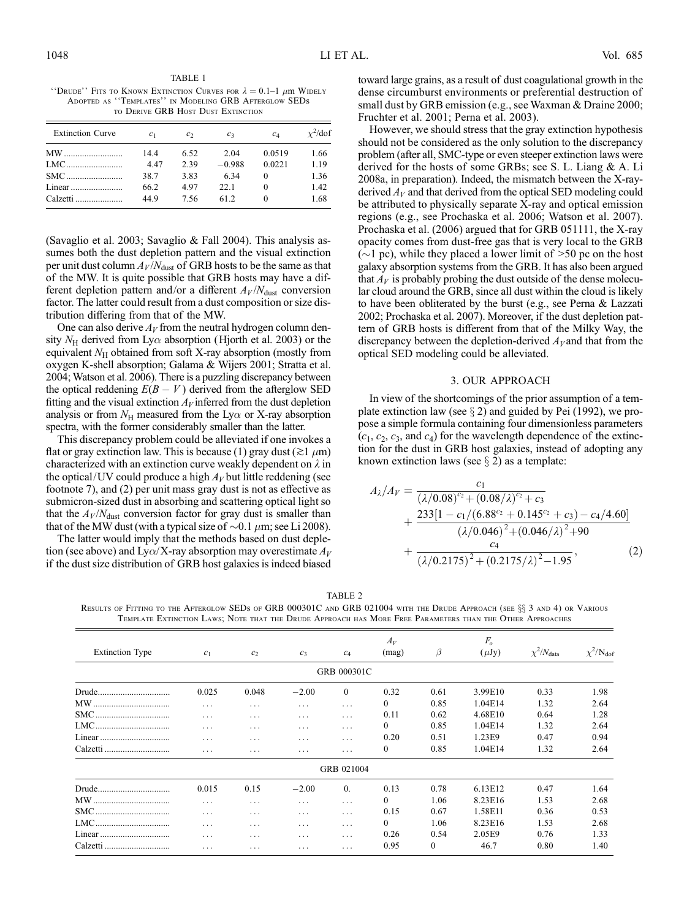TABLE 1 "Drude"' Fits to Known Extinction Curves for  $\lambda = 0.1$ -1  $\mu$ m Widely Adopted as ''Templates'' in Modeling GRB Afterglow SEDs to Derive GRB Host Dust Extinction

| <b>Extinction Curve</b> | c <sub>1</sub> | $\mathcal{C}$ | $c_3$    | $c_4$    | $\chi^2$ /dof |
|-------------------------|----------------|---------------|----------|----------|---------------|
| MW                      | 14.4           | 6.52          | 2.04     | 0.0519   | 1.66          |
|                         | 4.47           | 2.39          | $-0.988$ | 0.0221   | 1.19          |
|                         | 38.7           | 3.83          | 6.34     | 0        | 1.36          |
|                         | 66.2           | 497           | 22.1     | $\theta$ | 1.42          |
| Calzetti                | 449            | 7.56          | 61 2     |          | 1.68          |

(Savaglio et al. 2003; Savaglio & Fall 2004). This analysis assumes both the dust depletion pattern and the visual extinction per unit dust column  $A_V/N_{\text{dust}}$  of GRB hosts to be the same as that of the MW. It is quite possible that GRB hosts may have a different depletion pattern and/or a different  $A_V/N_{\text{dust}}$  conversion factor. The latter could result from a dust composition or size distribution differing from that of the MW.

One can also derive  $A_V$  from the neutral hydrogen column density  $N_H$  derived from Ly $\alpha$  absorption (Hjorth et al. 2003) or the equivalent  $N_H$  obtained from soft X-ray absorption (mostly from oxygen K-shell absorption; Galama & Wijers 2001; Stratta et al. 2004; Watson et al. 2006). There is a puzzling discrepancy between the optical reddening  $E(B - V)$  derived from the afterglow SED fitting and the visual extinction  $A_V$  inferred from the dust depletion analysis or from  $N_H$  measured from the Ly $\alpha$  or X-ray absorption spectra, with the former considerably smaller than the latter.

This discrepancy problem could be alleviated if one invokes a flat or gray extinction law. This is because (1) gray dust ( $\gtrsim$ 1  $\mu$ m) characterized with an extinction curve weakly dependent on  $\lambda$  in the optical/UV could produce a high  $A_V$  but little reddening (see footnote 7), and (2) per unit mass gray dust is not as effective as submicron-sized dust in absorbing and scattering optical light so that the  $A_V/N<sub>dust</sub>$  conversion factor for gray dust is smaller than that of the MW dust (with a typical size of  $\sim 0.1 \mu m$ ; see Li 2008).

The latter would imply that the methods based on dust depletion (see above) and Ly $\alpha$ /X-ray absorption may overestimate  $A_V$ if the dust size distribution of GRB host galaxies is indeed biased

toward large grains, as a result of dust coagulational growth in the dense circumburst environments or preferential destruction of small dust by GRB emission (e.g., see Waxman & Draine 2000; Fruchter et al. 2001; Perna et al. 2003).

However, we should stress that the gray extinction hypothesis should not be considered as the only solution to the discrepancy problem (after all, SMC-type or even steeper extinction laws were derived for the hosts of some GRBs; see S. L. Liang & A. Li 2008a, in preparation). Indeed, the mismatch between the X-rayderived  $A_V$  and that derived from the optical SED modeling could be attributed to physically separate X-ray and optical emission regions (e.g., see Prochaska et al. 2006; Watson et al. 2007). Prochaska et al. (2006) argued that for GRB 051111, the X-ray opacity comes from dust-free gas that is very local to the GRB ( $\sim$ 1 pc), while they placed a lower limit of  $>$ 50 pc on the host galaxy absorption systems from the GRB. It has also been argued that  $A_V$  is probably probing the dust outside of the dense molecular cloud around the GRB, since all dust within the cloud is likely to have been obliterated by the burst (e.g., see Perna & Lazzati 2002; Prochaska et al. 2007). Moreover, if the dust depletion pattern of GRB hosts is different from that of the Milky Way, the discrepancy between the depletion-derived  $A_V$  and that from the optical SED modeling could be alleviated.

### 3. OUR APPROACH

In view of the shortcomings of the prior assumption of a template extinction law (see  $\S 2$ ) and guided by Pei (1992), we propose a simple formula containing four dimensionless parameters  $(c_1, c_2, c_3, \text{ and } c_4)$  for the wavelength dependence of the extinction for the dust in GRB host galaxies, instead of adopting any known extinction laws (see  $\S 2$ ) as a template:

$$
A_{\lambda}/A_{V} = \frac{c_{1}}{(\lambda/0.08)^{c_{2}} + (0.08/\lambda)^{c_{2}} + c_{3}} + \frac{233[1 - c_{1}/(6.88^{c_{2}} + 0.145^{c_{2}} + c_{3}) - c_{4}/4.60]}{(\lambda/0.046)^{2} + (0.046/\lambda)^{2} + 90} + \frac{c_{4}}{(\lambda/0.2175)^{2} + (0.2175/\lambda)^{2} - 1.95},
$$
(2)

TABLE 2

| <b>Extinction Type</b> | $c_1$    | $c_2$    | $c_3$                   | $c_4$       | $A_V$<br>(mag) | $\beta$      | $F_{o}$<br>$(\mu Jy)$ | $\chi^2/N_{\text{data}}$ | $\chi^2/N_{\rm dof}$ |
|------------------------|----------|----------|-------------------------|-------------|----------------|--------------|-----------------------|--------------------------|----------------------|
|                        |          |          |                         | GRB 000301C |                |              |                       |                          |                      |
| Drude                  | 0.025    | 0.048    | $-2.00$                 | $\theta$    | 0.32           | 0.61         | 3.99E10               | 0.33                     | 1.98                 |
|                        | $\cdots$ | $\cdots$ | $\cdots$                | .           | 0              | 0.85         | 1.04E14               | 1.32                     | 2.64                 |
| SMC                    | $\cdots$ | .        | $\cdots$                | .           | 0.11           | 0.62         | 4.68E10               | 0.64                     | 1.28                 |
| LMC                    | .        | $\cdots$ | $\cdots$                | .           | 0              | 0.85         | 1.04E14               | 1.32                     | 2.64                 |
|                        | .        | .        | $\cdots$                | .           | 0.20           | 0.51         | 1.23E9                | 0.47                     | 0.94                 |
| Calzetti               | $\cdots$ | $\cdots$ | $\cdot$ $\cdot$ $\cdot$ | $\cdots$    | $\mathbf{0}$   | 0.85         | 1.04E14               | 1.32                     | 2.64                 |
|                        |          |          |                         | GRB 021004  |                |              |                       |                          |                      |
|                        | 0.015    | 0.15     | $-2.00$                 | $\theta$ .  | 0.13           | 0.78         | 6.13E12               | 0.47                     | 1.64                 |
| MW                     | $\cdots$ | $\cdots$ | $\cdots$                | .           | 0              | 1.06         | 8.23E16               | 1.53                     | 2.68                 |
| SMC                    | $\cdots$ | $\cdots$ | $\cdots$                | .           | 0.15           | 0.67         | 1.58E11               | 0.36                     | 0.53                 |
| LMC                    | .        | .        | $\cdots$                | .           | $\Omega$       | 1.06         | 8.23E16               | 1.53                     | 2.68                 |
|                        | .        | .        | $\cdots$                | .           | 0.26           | 0.54         | 2.05E9                | 0.76                     | 1.33                 |
| Calzetti               | .        | .        | $\cdots$                | .           | 0.95           | $\mathbf{0}$ | 46.7                  | 0.80                     | 1.40                 |

RESULTS OF FITTING TO THE AFTERGLOW SEDS OF GRB 000301C AND GRB 021004 WITH THE DRUDE APPROACH (SEE §§ 3 AND 4) OR VARIOUS Template Extinction Laws; Note that the Drude Approach has More Free Parameters than the Other Approaches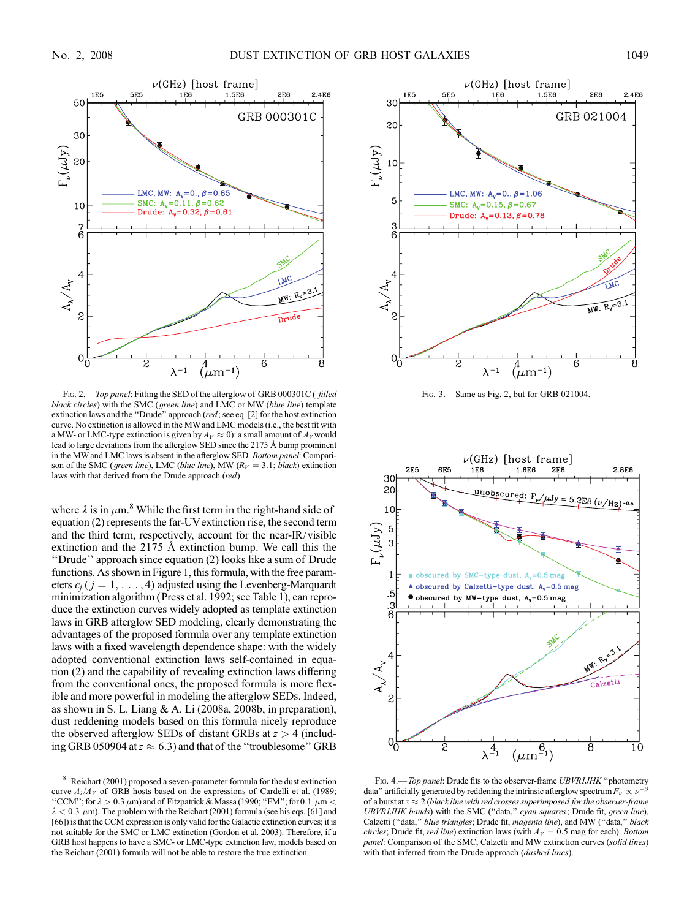

FIG. 2.—Top panel: Fitting the SED of the afterglow of GRB 000301C (filled black circles) with the SMC (*green line*) and LMC or MW (*blue line*) template extinction laws and the ''Drude'' approach (red; see eq. [2] for the host extinction curve. No extinction is allowed in the MWand LMC models (i.e., the best fit with a MW- or LMC-type extinction is given by  $A_V \approx 0$ ): a small amount of  $A_V$  would lead to large deviations from the afterglow SED since the 2175 Å bump prominent in the MW and LMC laws is absent in the afterglow SED. Bottom panel: Comparison of the SMC (green line), LMC (blue line), MW ( $R_V = 3.1$ ; black) extinction laws with that derived from the Drude approach (red).

where  $\lambda$  is in  $\mu$ m.<sup>8</sup> While the first term in the right-hand side of equation (2) represents the far-UVextinction rise, the second term and the third term, respectively, account for the near-IR/visible extinction and the  $2175$  Å extinction bump. We call this the ''Drude'' approach since equation (2) looks like a sum of Drude functions. As shown in Figure 1, this formula, with the free parameters  $c_i$  (  $j = 1, \ldots, 4$ ) adjusted using the Levenberg-Marquardt minimization algorithm (Press et al. 1992; see Table 1), can reproduce the extinction curves widely adopted as template extinction laws in GRB afterglow SED modeling, clearly demonstrating the advantages of the proposed formula over any template extinction laws with a fixed wavelength dependence shape: with the widely adopted conventional extinction laws self-contained in equation (2) and the capability of revealing extinction laws differing from the conventional ones, the proposed formula is more flexible and more powerful in modeling the afterglow SEDs. Indeed, as shown in S. L. Liang & A. Li (2008a, 2008b, in preparation), dust reddening models based on this formula nicely reproduce the observed afterglow SEDs of distant GRBs at  $z > 4$  (including GRB 050904 at  $z \approx 6.3$ ) and that of the "troublesome" GRB



Fig. 3.—Same as Fig. 2, but for GRB 021004.



FIG. 4.—Top panel: Drude fits to the observer-frame UBVRIJHK "photometry data" artificially generated by reddening the intrinsic afterglow spectrum  $F_{\nu} \propto \nu^{-1}$ β of a burst at  $z \approx 2$  (black line with red crosses superimposed for the observer-frame UBVRIJHK bands) with the SMC ("data," cyan squares; Drude fit, green line), Calzetti ("data," blue triangles; Drude fit, magenta line), and MW ("data," black circles; Drude fit, red line) extinction laws (with  $A_V = 0.5$  mag for each). Bottom panel: Comparison of the SMC, Calzetti and MW extinction curves (solid lines) with that inferred from the Drude approach (dashed lines).

<sup>8</sup> Reichart (2001) proposed a seven-parameter formula for the dust extinction curve  $A_{\lambda}/A_V$  of GRB hosts based on the expressions of Cardelli et al. (1989; "CCM"; for  $\lambda > 0.3 \ \mu$ m) and of Fitzpatrick & Massa (1990; "FM"; for 0.1  $\ \mu$ m <  $\lambda$  < 0.3  $\mu$ m). The problem with the Reichart (2001) formula (see his eqs. [61] and [66]) is that the CCM expression is only valid for the Galactic extinction curves; it is not suitable for the SMC or LMC extinction (Gordon et al. 2003). Therefore, if a GRB host happens to have a SMC- or LMC-type extinction law, models based on the Reichart (2001) formula will not be able to restore the true extinction.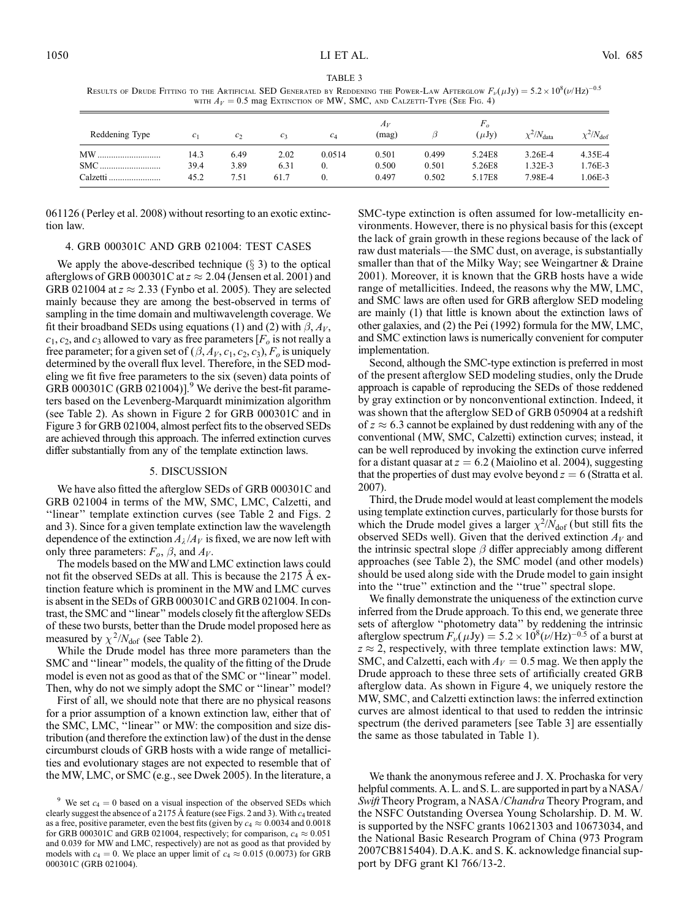| WITH $A_V = 0.5$ mag EXTINCTION OF MW, SMC, AND CALZETTI-TYPE (SEE FIG. 4) |                |                   |                |        |                |       |            |                          |                      |
|----------------------------------------------------------------------------|----------------|-------------------|----------------|--------|----------------|-------|------------|--------------------------|----------------------|
| Reddening Type                                                             | c <sub>1</sub> | $\mathcal{C}_{2}$ | c <sub>3</sub> | $c_4$  | $A_V$<br>(mag) |       | $(\mu Jv)$ | $\chi^2/N_{\text{data}}$ | $\chi^2/N_{\rm dof}$ |
| MW                                                                         | 14.3           | 6.49              | 2.02           | 0.0514 | 0.501          | 0.499 | 5.24E8     | 3.26E-4                  | 4.35E-4              |
| SMC                                                                        | 39.4           | 3.89              | 6.31           | 0.     | 0.500          | 0.501 | 5.26E8     | $1.32E-3$                | 1.76E-3              |
| Calzetti                                                                   | 45.2           | 7.51              | 61.7           | 0.     | 0.497          | 0.502 | 5.17E8     | 7.98E-4                  | 1.06E-3              |

TABLE 3 Results of Drude Fitting to the Artificial SED Generated by Reddening the Power-Law Afterglow  $F_\nu(\mu {\rm Jy}) = 5.2 \times 10^8 (\nu/{\rm Hz})^{-0.5}$ 

061126 (Perley et al. 2008) without resorting to an exotic extinction law.

## 4. GRB 000301C AND GRB 021004: TEST CASES

We apply the above-described technique  $(\S 3)$  to the optical afterglows of GRB 000301C at  $z \approx 2.04$  (Jensen et al. 2001) and GRB 021004 at  $z \approx 2.33$  (Fynbo et al. 2005). They are selected mainly because they are among the best-observed in terms of sampling in the time domain and multiwavelength coverage. We fit their broadband SEDs using equations (1) and (2) with  $\beta$ ,  $A_V$ ,  $c_1, c_2$ , and  $c_3$  allowed to vary as free parameters  $[F_0]$  is not really a free parameter; for a given set of  $(\beta, A_V, c_1, c_2, c_3)$ ,  $F_o$  is uniquely determined by the overall flux level. Therefore, in the SED modeling we fit five free parameters to the six (seven) data points of GRB 000301C (GRB 021004)].<sup>9</sup> We derive the best-fit parameters based on the Levenberg-Marquardt minimization algorithm (see Table 2). As shown in Figure 2 for GRB 000301C and in Figure 3 for GRB 021004, almost perfect fits to the observed SEDs are achieved through this approach. The inferred extinction curves differ substantially from any of the template extinction laws.

#### 5. DISCUSSION

We have also fitted the afterglow SEDs of GRB 000301C and GRB 021004 in terms of the MW, SMC, LMC, Calzetti, and "linear" template extinction curves (see Table 2 and Figs. 2 and 3). Since for a given template extinction law the wavelength dependence of the extinction  $A_\lambda / A_V$  is fixed, we are now left with only three parameters:  $F_o$ ,  $\beta$ , and  $A_V$ .

The models based on the MW and LMC extinction laws could not fit the observed SEDs at all. This is because the 2175 Å extinction feature which is prominent in the MW and LMC curves is absent in the SEDs of GRB 000301C and GRB 021004. In contrast, the SMC and ''linear'' models closely fit the afterglow SEDs of these two bursts, better than the Drude model proposed here as measured by  $\chi^2/N_{\text{dof}}$  (see Table 2).

While the Drude model has three more parameters than the SMC and ''linear'' models, the quality of the fitting of the Drude model is even not as good as that of the SMC or ''linear'' model. Then, why do not we simply adopt the SMC or ''linear'' model?

First of all, we should note that there are no physical reasons for a prior assumption of a known extinction law, either that of the SMC, LMC, ''linear'' or MW: the composition and size distribution (and therefore the extinction law) of the dust in the dense circumburst clouds of GRB hosts with a wide range of metallicities and evolutionary stages are not expected to resemble that of the MW, LMC, or SMC (e.g., see Dwek 2005). In the literature, a

SMC-type extinction is often assumed for low-metallicity environments. However, there is no physical basis for this (except the lack of grain growth in these regions because of the lack of raw dust materials—the SMC dust, on average, is substantially smaller than that of the Milky Way; see Weingartner & Draine 2001). Moreover, it is known that the GRB hosts have a wide range of metallicities. Indeed, the reasons why the MW, LMC, and SMC laws are often used for GRB afterglow SED modeling are mainly (1) that little is known about the extinction laws of other galaxies, and (2) the Pei (1992) formula for the MW, LMC, and SMC extinction laws is numerically convenient for computer implementation.

Second, although the SMC-type extinction is preferred in most of the present afterglow SED modeling studies, only the Drude approach is capable of reproducing the SEDs of those reddened by gray extinction or by nonconventional extinction. Indeed, it was shown that the afterglow SED of GRB 050904 at a redshift of  $z \approx 6.3$  cannot be explained by dust reddening with any of the conventional (MW, SMC, Calzetti) extinction curves; instead, it can be well reproduced by invoking the extinction curve inferred for a distant quasar at  $z = 6.2$  (Maiolino et al. 2004), suggesting that the properties of dust may evolve beyond  $z = 6$  (Stratta et al. 2007).

Third, the Drude model would at least complement the models using template extinction curves, particularly for those bursts for which the Drude model gives a larger  $\chi^2/N_{\text{dof}}$  (but still fits the observed SEDs well). Given that the derived extinction  $A_V$  and the intrinsic spectral slope  $\beta$  differ appreciably among different approaches (see Table 2), the SMC model (and other models) should be used along side with the Drude model to gain insight into the ''true'' extinction and the ''true'' spectral slope.

We finally demonstrate the uniqueness of the extinction curve inferred from the Drude approach. To this end, we generate three sets of afterglow ''photometry data'' by reddening the intrinsic afterglow spectrum  $F_{\nu}(\mu Jy) = 5.2 \times 10^8 (\nu / Hz)^{-0.5}$  of a burst at  $z \approx 2$ , respectively, with three template extinction laws: MW, SMC, and Calzetti, each with  $A_V = 0.5$  mag. We then apply the Drude approach to these three sets of artificially created GRB afterglow data. As shown in Figure 4, we uniquely restore the MW, SMC, and Calzetti extinction laws: the inferred extinction curves are almost identical to that used to redden the intrinsic spectrum (the derived parameters [see Table 3] are essentially the same as those tabulated in Table 1).

We thank the anonymous referee and J. X. Prochaska for very helpful comments. A. L. and S. L. are supported in part by a NASA/ Swift Theory Program, a NASA/Chandra Theory Program, and the NSFC Outstanding Oversea Young Scholarship. D. M. W. is supported by the NSFC grants 10621303 and 10673034, and the National Basic Research Program of China (973 Program 2007CB815404). D.A.K. and S. K. acknowledge financial support by DFG grant Kl 766/13-2.

<sup>&</sup>lt;sup>9</sup> We set  $c_4 = 0$  based on a visual inspection of the observed SEDs which clearly suggest the absence of a 2175 Å feature (see Figs. 2 and 3). With  $c_4$  treated as a free, positive parameter, even the best fits (given by  $c_4 \approx 0.0034$  and 0.0018 for GRB 000301C and GRB 021004, respectively; for comparison,  $c_4 \approx 0.051$ and 0.039 for MW and LMC, respectively) are not as good as that provided by models with  $c_4 = 0$ . We place an upper limit of  $c_4 \approx 0.015$  (0.0073) for GRB 000301C (GRB 021004).